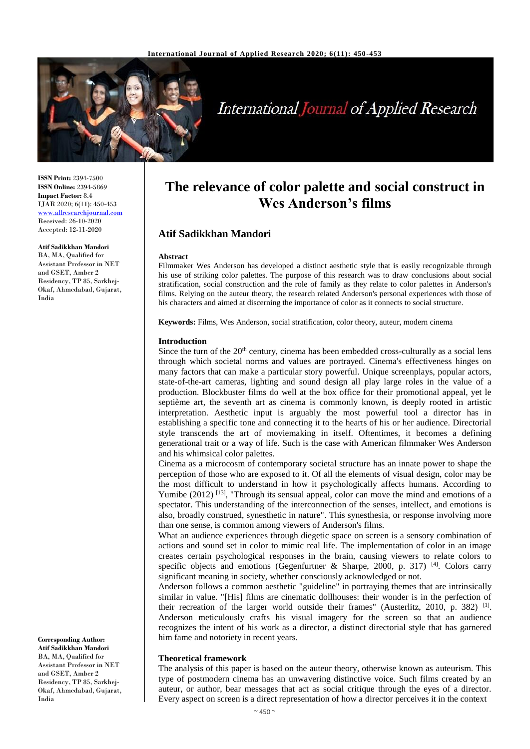

# **International Journal of Applied Research**

**ISSN Print:** 2394-7500 **ISSN Online:** 2394-5869 **Impact Factor:** 8.4 IJAR 2020; 6(11): 450-453 <www.allresearchjournal.com> Received: 26-10-2020 Accepted: 12-11-2020

**Atif Sadikkhan Mandori** BA, MA, Qualified for Assistant Professor in NET and GSET, Amber 2 Residency, TP 85, Sarkhej-Okaf, Ahmedabad, Gujarat, India

**Corresponding Author: Atif Sadikkhan Mandori** BA, MA, Qualified for Assistant Professor in NET and GSET, Amber 2 Residency, TP 85, Sarkhej-Okaf, Ahmedabad, Gujarat,

India

# **The relevance of color palette and social construct in Wes Anderson's films**

# **Atif Sadikkhan Mandori**

#### **Abstract**

Filmmaker Wes Anderson has developed a distinct aesthetic style that is easily recognizable through his use of striking color palettes. The purpose of this research was to draw conclusions about social stratification, social construction and the role of family as they relate to color palettes in Anderson's films. Relying on the auteur theory, the research related Anderson's personal experiences with those of his characters and aimed at discerning the importance of color as it connects to social structure.

**Keywords:** Films, Wes Anderson, social stratification, color theory, auteur, modern cinema

#### **Introduction**

Since the turn of the 20<sup>th</sup> century, cinema has been embedded cross-culturally as a social lens through which societal norms and values are portrayed. Cinema's effectiveness hinges on many factors that can make a particular story powerful. Unique screenplays, popular actors, state-of-the-art cameras, lighting and sound design all play large roles in the value of a production. Blockbuster films do well at the box office for their promotional appeal, yet le septième art, the seventh art as cinema is commonly known, is deeply rooted in artistic interpretation. Aesthetic input is arguably the most powerful tool a director has in establishing a specific tone and connecting it to the hearts of his or her audience. Directorial style transcends the art of moviemaking in itself. Oftentimes, it becomes a defining generational trait or a way of life. Such is the case with American filmmaker Wes Anderson and his whimsical color palettes.

Cinema as a microcosm of contemporary societal structure has an innate power to shape the perception of those who are exposed to it. Of all the elements of visual design, color may be the most difficult to understand in how it psychologically affects humans. According to Yumibe  $(2012)$ <sup>[13]</sup>, "Through its sensual appeal, color can move the mind and emotions of a spectator. This understanding of the interconnection of the senses, intellect, and emotions is also, broadly construed, synesthetic in nature". This synesthesia, or response involving more than one sense, is common among viewers of Anderson's films.

What an audience experiences through diegetic space on screen is a sensory combination of actions and sound set in color to mimic real life. The implementation of color in an image creates certain psychological responses in the brain, causing viewers to relate colors to specific objects and emotions (Gegenfurtner & Sharpe, 2000, p. 317)<sup>[4]</sup>. Colors carry significant meaning in society, whether consciously acknowledged or not.

Anderson follows a common aesthetic "guideline" in portraying themes that are intrinsically similar in value. "[His] films are cinematic dollhouses: their wonder is in the perfection of their recreation of the larger world outside their frames" (Austerlitz, 2010, p. 382)<sup>[1]</sup>. Anderson meticulously crafts his visual imagery for the screen so that an audience recognizes the intent of his work as a director, a distinct directorial style that has garnered him fame and notoriety in recent years.

#### **Theoretical framework**

The analysis of this paper is based on the auteur theory, otherwise known as auteurism. This type of postmodern cinema has an unwavering distinctive voice. Such films created by an auteur, or author, bear messages that act as social critique through the eyes of a director. Every aspect on screen is a direct representation of how a director perceives it in the context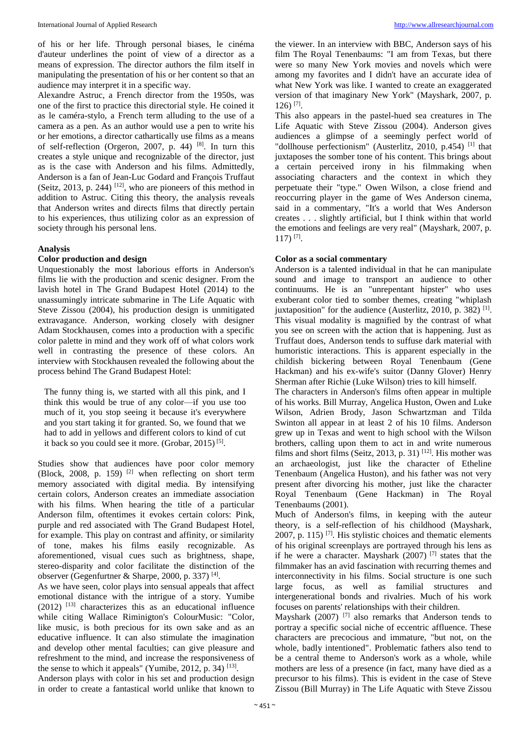of his or her life. Through personal biases, le cinéma d'auteur underlines the point of view of a director as a means of expression. The director authors the film itself in manipulating the presentation of his or her content so that an audience may interpret it in a specific way.

Alexandre Astruc, a French director from the 1950s, was one of the first to practice this directorial style. He coined it as le caméra-stylo, a French term alluding to the use of a camera as a pen. As an author would use a pen to write his or her emotions, a director cathartically use films as a means of self-reflection (Orgeron, 2007, p. 44) [8]. In turn this creates a style unique and recognizable of the director, just as is the case with Anderson and his films. Admittedly, Anderson is a fan of Jean-Luc Godard and François Truffaut (Seitz, 2013, p. 244)  $[12]$ , who are pioneers of this method in addition to Astruc. Citing this theory, the analysis reveals that Anderson writes and directs films that directly pertain to his experiences, thus utilizing color as an expression of society through his personal lens.

#### **Analysis**

## **Color production and design**

Unquestionably the most laborious efforts in Anderson's films lie with the production and scenic designer. From the lavish hotel in The Grand Budapest Hotel (2014) to the unassumingly intricate submarine in The Life Aquatic with Steve Zissou (2004), his production design is unmitigated extravagance. Anderson, working closely with designer Adam Stockhausen, comes into a production with a specific color palette in mind and they work off of what colors work well in contrasting the presence of these colors. An interview with Stockhausen revealed the following about the process behind The Grand Budapest Hotel:

The funny thing is, we started with all this pink, and I think this would be true of any color—if you use too much of it, you stop seeing it because it's everywhere and you start taking it for granted. So, we found that we had to add in yellows and different colors to kind of cut it back so you could see it more. (Grobar, 2015)<sup>[5]</sup>.

Studies show that audiences have poor color memory (Block, 2008, p. 159)<sup>[2]</sup> when reflecting on short term memory associated with digital media. By intensifying certain colors, Anderson creates an immediate association with his films. When hearing the title of a particular Anderson film, oftentimes it evokes certain colors: Pink, purple and red associated with The Grand Budapest Hotel, for example. This play on contrast and affinity, or similarity of tone, makes his films easily recognizable. As aforementioned, visual cues such as brightness, shape, stereo-disparity and color facilitate the distinction of the observer (Gegenfurtner & Sharpe, 2000, p. 337)<sup>[4]</sup>.

As we have seen, color plays into sensual appeals that affect emotional distance with the intrigue of a story. Yumibe  $(2012)$  <sup>[13]</sup> characterizes this as an educational influence while citing Wallace Riminigton's ColourMusic: "Color, like music, is both precious for its own sake and as an educative influence. It can also stimulate the imagination and develop other mental faculties; can give pleasure and refreshment to the mind, and increase the responsiveness of the sense to which it appeals" (Yumibe, 2012, p. 34)  $^{[13]}$ .

Anderson plays with color in his set and production design in order to create a fantastical world unlike that known to

the viewer. In an interview with BBC, Anderson says of his film The Royal Tenenbaums: "I am from Texas, but there were so many New York movies and novels which were among my favorites and I didn't have an accurate idea of what New York was like. I wanted to create an exaggerated version of that imaginary New York" (Mayshark, 2007, p. 126) [7] .

This also appears in the pastel-hued sea creatures in The Life Aquatic with Steve Zissou (2004). Anderson gives audiences a glimpse of a seemingly perfect world of "dollhouse perfectionism" (Austerlitz, 2010, p.454) [1] that juxtaposes the somber tone of his content. This brings about a certain perceived irony in his filmmaking when associating characters and the context in which they perpetuate their "type." Owen Wilson, a close friend and reoccurring player in the game of Wes Anderson cinema, said in a commentary, "It's a world that Wes Anderson creates . . . slightly artificial, but I think within that world the emotions and feelings are very real" (Mayshark, 2007, p. 117) [7] .

#### **Color as a social commentary**

Anderson is a talented individual in that he can manipulate sound and image to transport an audience to other continuums. He is an "unrepentant hipster" who uses exuberant color tied to somber themes, creating "whiplash juxtaposition" for the audience (Austerlitz, 2010, p. 382)<sup>[1]</sup>. This visual modality is magnified by the contrast of what you see on screen with the action that is happening. Just as Truffaut does, Anderson tends to suffuse dark material with humoristic interactions. This is apparent especially in the childish bickering between Royal Tenenbaum (Gene Hackman) and his ex-wife's suitor (Danny Glover) Henry Sherman after Richie (Luke Wilson) tries to kill himself.

The characters in Anderson's films often appear in multiple of his works. Bill Murray, Angelica Huston, Owen and Luke Wilson, Adrien Brody, Jason Schwartzman and Tilda Swinton all appear in at least 2 of his 10 films. Anderson grew up in Texas and went to high school with the Wilson brothers, calling upon them to act in and write numerous films and short films (Seitz, 2013, p. 31)  $[12]$ . His mother was an archaeologist, just like the character of Etheline Tenenbaum (Angelica Huston), and his father was not very present after divorcing his mother, just like the character Royal Tenenbaum (Gene Hackman) in The Royal Tenenbaums (2001).

Much of Anderson's films, in keeping with the auteur theory, is a self-reflection of his childhood (Mayshark, 2007, p. 115)  $^{[7]}$ . His stylistic choices and thematic elements of his original screenplays are portrayed through his lens as if he were a character. Mayshark (2007) [7] states that the filmmaker has an avid fascination with recurring themes and interconnectivity in his films. Social structure is one such large focus, as well as familial structures and intergenerational bonds and rivalries. Much of his work focuses on parents' relationships with their children.

Mayshark (2007)<sup>[7]</sup> also remarks that Anderson tends to portray a specific social niche of eccentric affluence. These characters are precocious and immature, "but not, on the whole, badly intentioned". Problematic fathers also tend to be a central theme to Anderson's work as a whole, while mothers are less of a presence (in fact, many have died as a precursor to his films). This is evident in the case of Steve Zissou (Bill Murray) in The Life Aquatic with Steve Zissou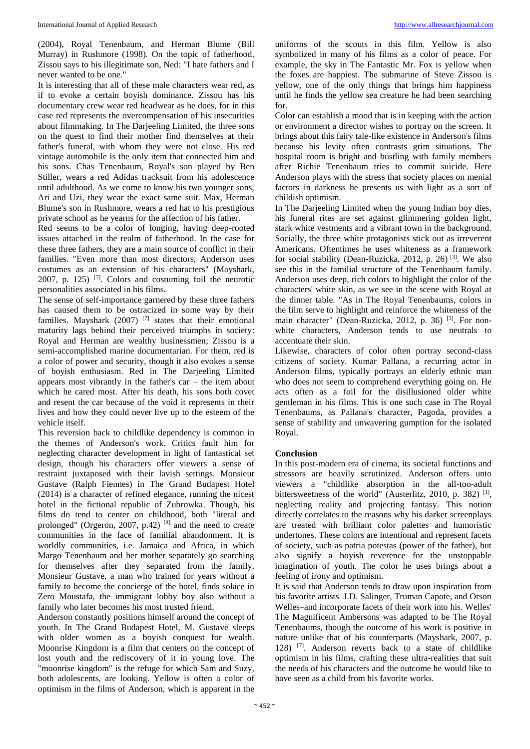(2004), Royal Tenenbaum, and Herman Blume (Bill Murray) in Rushmore (1998). On the topic of fatherhood, Zissou says to his illegitimate son, Ned: "I hate fathers and I never wanted to be one."

It is interesting that all of these male characters wear red, as if to evoke a certain boyish dominance. Zissou has his documentary crew wear red headwear as he does, for in this case red represents the overcompensation of his insecurities about filmmaking. In The Darjeeling Limited, the three sons on the quest to find their mother find themselves at their father's funeral, with whom they were not close. His red vintage automobile is the only item that connected him and his sons. Chas Tenenbaum, Royal's son played by Ben Stiller, wears a red Adidas tracksuit from his adolescence until adulthood. As we come to know his two younger sons, Ari and Uzi, they wear the exact same suit. Max, Herman Blume's son in Rushmore, wears a red hat to his prestigious private school as he yearns for the affection of his father.

Red seems to be a color of longing, having deep-rooted issues attached in the realm of fatherhood. In the case for these three fathers, they are a main source of conflict in their families. "Even more than most directors, Anderson uses costumes as an extension of his characters'' (Mayshark, 2007, p. 125)  $^{[7]}$ . Colors and costuming foil the neurotic personalities associated in his films.

The sense of self-importance garnered by these three fathers has caused them to be ostracized in some way by their families. Mayshark (2007) [7] states that their emotional maturity lags behind their perceived triumphs in society: Royal and Herman are wealthy businessmen; Zissou is a semi-accomplished marine documentarian. For them, red is a color of power and security, though it also evokes a sense of boyish enthusiasm. Red in The Darjeeling Limited appears most vibrantly in the father's car – the item about which he cared most. After his death, his sons both covet and resent the car because of the void it represents in their lives and how they could never live up to the esteem of the vehicle itself.

This reversion back to childlike dependency is common in the themes of Anderson's work. Critics fault him for neglecting character development in light of fantastical set design, though his characters offer viewers a sense of restraint juxtaposed with their lavish settings. Monsieur Gustave (Ralph Fiennes) in The Grand Budapest Hotel (2014) is a character of refined elegance, running the nicest hotel in the fictional republic of Zubrowka. Though, his films do tend to center on childhood, both "literal and prolonged" (Orgeron, 2007, p.42)  $[8]$  and the need to create communities in the face of familial abandonment. It is worldly communities, i.e. Jamaica and Africa, in which Margo Tenenbaum and her mother separately go searching for themselves after they separated from the family. Monsieur Gustave, a man who trained for years without a family to become the concierge of the hotel, finds solace in Zero Moustafa, the immigrant lobby boy also without a family who later becomes his most trusted friend.

Anderson constantly positions himself around the concept of youth. In The Grand Budapest Hotel, M. Gustave sleeps with older women as a boyish conquest for wealth. Moonrise Kingdom is a film that centers on the concept of lost youth and the rediscovery of it in young love. The "moonrise kingdom" is the refuge for which Sam and Suzy, both adolescents, are looking. Yellow is often a color of optimism in the films of Anderson, which is apparent in the

uniforms of the scouts in this film. Yellow is also symbolized in many of his films as a color of peace. For example, the sky in The Fantastic Mr. Fox is yellow when the foxes are happiest. The submarine of Steve Zissou is yellow, one of the only things that brings him happiness until he finds the yellow sea creature he had been searching for.

Color can establish a mood that is in keeping with the action or environment a director wishes to portray on the screen. It brings about this fairy tale-like existence in Anderson's films because his levity often contrasts grim situations. The hospital room is bright and bustling with family members after Richie Tenenbaum tries to commit suicide. Here Anderson plays with the stress that society places on menial factors–in darkness he presents us with light as a sort of childish optimism.

In The Darjeeling Limited when the young Indian boy dies, his funeral rites are set against glimmering golden light, stark white vestments and a vibrant town in the background. Socially, the three white protagonists stick out as irreverent Americans. Oftentimes he uses whiteness as a framework for social stability (Dean-Ruzicka, 2012, p. 26) [3]. We also see this in the familial structure of the Tenenbaum family. Anderson uses deep, rich colors to highlight the color of the characters' white skin, as we see in the scene with Royal at the dinner table. "As in The Royal Tenenbaums, colors in the film serve to highlight and reinforce the whiteness of the main character" (Dean-Ruzicka, 2012, p. 36)<sup>[3]</sup>. For nonwhite characters, Anderson tends to use neutrals to accentuate their skin.

Likewise, characters of color often portray second-class citizens of society. Kumar Pallana, a recurring actor in Anderson films, typically portrays an elderly ethnic man who does not seem to comprehend everything going on. He acts often as a foil for the disillusioned older white gentleman in his films. This is one such case in The Royal Tenenbaums, as Pallana's character, Pagoda, provides a sense of stability and unwavering gumption for the isolated Royal.

## **Conclusion**

In this post-modern era of cinema, its societal functions and stressors are heavily scrutinized. Anderson offers unto viewers a "childlike absorption in the all-too-adult bittersweetness of the world" (Austerlitz, 2010, p. 382)<sup>[1]</sup>, neglecting reality and projecting fantasy. This notion directly correlates to the reasons why his darker screenplays are treated with brilliant color palettes and humoristic undertones. These colors are intentional and represent facets of society, such as patria potestas (power of the father), but also signify a boyish reverence for the unstoppable imagination of youth. The color he uses brings about a feeling of irony and optimism.

It is said that Anderson tends to draw upon inspiration from his favorite artists–J.D. Salinger, Truman Capote, and Orson Welles–and incorporate facets of their work into his. Welles' The Magnificent Ambersons was adapted to be The Royal Tenenbaums, though the outcome of his work is positive in nature unlike that of his counterparts (Mayshark, 2007, p. 128) [7]. Anderson reverts back to a state of childlike optimism in his films, crafting these ultra-realities that suit the needs of his characters and the outcome he would like to have seen as a child from his favorite works.